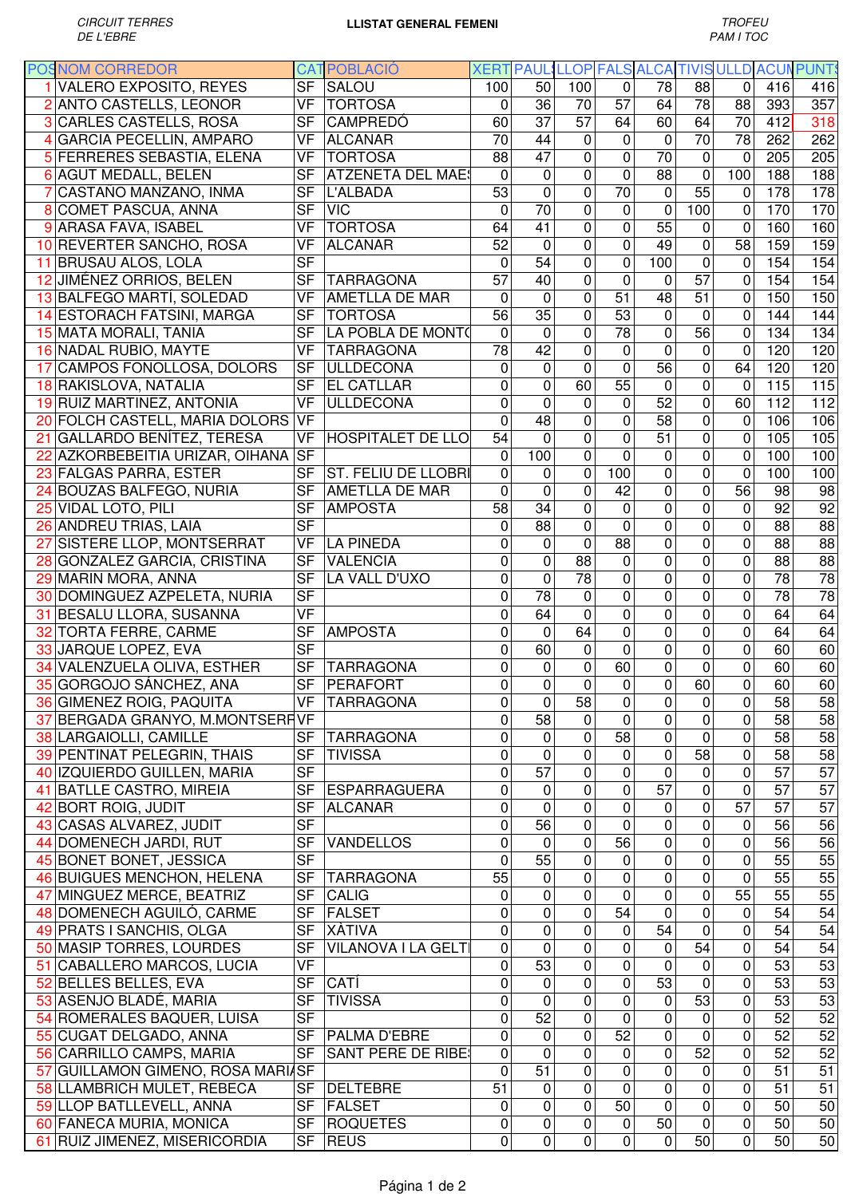| <b>POSNOM CORREDOR</b>            |                          | <b>CAT POBLACIÓ</b>       |                 |                 |                 | XERT PAUL LLOP FALS ALCA TIVIS ULLD ACUN PUNTS |                                |                 |                 |                 |                  |
|-----------------------------------|--------------------------|---------------------------|-----------------|-----------------|-----------------|------------------------------------------------|--------------------------------|-----------------|-----------------|-----------------|------------------|
| 1 VALERO EXPOSITO, REYES          | $\overline{\mathsf{SF}}$ | SALOU                     | 100             | 50              | 100             | 0                                              | 78                             | 88              | $\mathbf 0$     | 416             | 416              |
| 2 ANTO CASTELLS, LEONOR           | <b>VF</b>                | <b>TORTOSA</b>            | 0               | 36              | 70              | $\overline{57}$                                | 64                             | 78              | 88              | 393             | 357              |
| <b>3 CARLES CASTELLS, ROSA</b>    | <b>SF</b>                | <b>CAMPREDÓ</b>           | 60              | 37              | 57              | 64                                             | 60                             | 64              | 70              | 412             | $\overline{318}$ |
| 4 GARCIA PECELLIN, AMPARO         | VF                       | ALCANAR                   | $\overline{70}$ | 44              | $\mathbf 0$     | 0                                              | $\mathbf 0$                    | $\overline{70}$ | 78              | 262             | 262              |
| 5 FERRERES SEBASTIA, ELENA        | VF                       | <b>TORTOSA</b>            | 88              | 47              | 0               | $\mathbf 0$                                    | $\overline{70}$                | $\mathbf 0$     | $\Omega$        | 205             | 205              |
| 6 AGUT MEDALL, BELEN              | <b>SF</b>                | <b>ATZENETA DEL MAES</b>  | $\mathbf 0$     | 0               | 0               | $\overline{0}$                                 | 88                             | $\mathbf 0$     | 100             | 188             | 188              |
| CASTAÑO MANZANO, INMA             | <b>SF</b>                | L'ALBADA                  | 53              | $\mathbf 0$     | 0               | $\overline{70}$                                | $\mathbf 0$                    | 55              | 0               | 178             | 178              |
| 8 COMET PASCUA, ANNA              | <b>SF</b>                | <b>VIC</b>                | $\mathbf{0}$    | 70              | $\overline{0}$  | $\mathbf 0$                                    | $\mathbf 0$                    | 100             | 0               | 170             | 170              |
| 9 ARASA FAVA, ISABEL              | <b>VF</b>                | <b>TORTOSA</b>            | 64              | $\overline{41}$ | 0               | $\overline{0}$                                 | 55                             | 0               | $\mathbf 0$     | 160             | 160              |
| 10 REVERTER SANCHO, ROSA          | <b>VF</b>                | <b>ALCANAR</b>            | 52              | $\mathbf 0$     | 0               | $\overline{0}$                                 | 49                             | $\mathbf 0$     | 58              | 159             | 159              |
|                                   | <b>SF</b>                |                           |                 | 54              | 0               | $\overline{0}$                                 |                                |                 |                 |                 |                  |
| 11 BRUSAU ALOS, LOLA              |                          |                           | 0               |                 |                 |                                                | 100                            | $\mathbf 0$     | $\mathbf 0$     | 154             | 154              |
| 12 JIMÉNEZ ORRIOS, BELEN          | <b>SF</b>                | <b>TARRAGONA</b>          | 57              | 40              | 0               | $\overline{0}$                                 | $\mathbf 0$                    | 57              | $\mathbf 0$     | 154             | 154              |
| 13 BALFEGO MARTÍ, SOLEDAD         | $\overline{\mathsf{VF}}$ | AMETLLA DE MAR            | 0               | $\mathbf 0$     | 0               | $\overline{51}$                                | $\overline{48}$                | $\overline{51}$ | $\mathbf 0$     | 150             | 150              |
| 14 ESTORACH FATSINI, MARGA        | <b>SF</b>                | <b>TORTOSA</b>            | 56              | 35              | 0               | 53                                             | $\mathbf 0$                    | $\pmb{0}$       | $\mathbf 0$     | 144             | 144              |
| 15 MATA MORALI, TANIA             | $\overline{\mathsf{SF}}$ | LA POBLA DE MONTO         | 0               | $\mathbf 0$     | 0               | $\overline{78}$                                | 0                              | $\overline{56}$ | $\mathbf 0$     | 134             | 134              |
| 16 NADAL RUBIO, MAYTE             | $\overline{\mathsf{VF}}$ | <b>TARRAGONA</b>          | $\overline{78}$ | $\overline{42}$ | $\mathbf 0$     | 0                                              | $\overline{0}$                 | $\mathbf 0$     | $\mathbf 0$     | 120             | 120              |
| 17 CAMPOS FONOLLOSA, DOLORS       | $\overline{\mathsf{SF}}$ | <b>ULLDECONA</b>          | 0               | $\mathbf 0$     | $\mathbf 0$     | $\overline{0}$                                 | $\overline{56}$                | $\pmb{0}$       | 64              | 120             | 120              |
| 18 RAKISLOVA, NATALIA             | $\overline{\mathsf{SF}}$ | <b>EL CATLLAR</b>         | 0               | 0               | 60              | $\overline{55}$                                | 0                              | 0               | $\mathbf 0$     | 115             | $\overline{115}$ |
| 19 RUIZ MARTINEZ, ANTONIA         | $\overline{\mathsf{VF}}$ | <b>ULLDECONA</b>          | 0               | $\mathbf 0$     | $\mathbf 0$     | 0                                              | 52                             | $\mathbf 0$     | 60              | 112             | 112              |
| 20 FOLCH CASTELL, MARIA DOLORS    | $\overline{\mathsf{VF}}$ |                           | $\overline{0}$  | $\overline{48}$ | $\mathbf 0$     | 0                                              | 58                             | $\mathbf 0$     | 0               | 106             | 106              |
| 21 GALLARDO BENÍTEZ, TERESA       | $\overline{\mathsf{VF}}$ | <b>HOSPITALET DE LLO</b>  | $\overline{54}$ | $\overline{0}$  | 0               | $\mathbf 0$                                    | $\overline{51}$                | $\overline{0}$  | 0               | 105             | 105              |
| 22 AZKORBEBEITIA URIZAR, OIHANA   | $S$ F                    |                           | $\mathbf 0$     | 100             | 0               | $\mathbf 0$                                    | $\mathbf 0$                    | $\pmb{0}$       | 0               | 100             | 100              |
| 23 FALGAS PARRA, ESTER            | <b>SF</b>                | ST. FELIU DE LLOBRI       | 0               | 0               | 0               | 100                                            | 0                              | $\overline{0}$  | $\mathbf 0$     | 100             | 100              |
| 24 BOUZAS BALFEGO, NURIA          | <b>SF</b>                | <b>AMETLLA DE MAR</b>     | 0               | $\mathbf 0$     | 0               | $\overline{42}$                                | 0                              | $\overline{0}$  | 56              | 98              | $\overline{98}$  |
| 25 VIDAL LOTO, PILI               | <b>SF</b>                | <b>AMPOSTA</b>            | 58              | 34              | 0               | $\overline{0}$                                 | 0                              | $\mathbf 0$     | $\mathbf 0$     | $\overline{92}$ | 92               |
| 26 ANDREU TRIAS, LAIA             | <b>SF</b>                |                           | 0               | 88              | 0               | $\overline{0}$                                 | 0                              | $\mathbf 0$     | $\mathbf 0$     | 88              | 88               |
| 27 SISTERE LLOP, MONTSERRAT       | VF                       | <b>LA PINEDA</b>          | 0               | 0               | $\mathbf 0$     | $\overline{88}$                                | 0                              | 0               | $\pmb{0}$       | $\overline{88}$ | 88               |
| 28 GONZALEZ GARCIA, CRISTINA      | <b>SF</b>                | <b>VALENCIA</b>           | 0               | 0               | $\overline{88}$ | $\mathbf 0$                                    | 0                              | $\mathbf 0$     | $\mathbf 0$     | $\overline{88}$ | 88               |
| 29 MARIN MORA, ANNA               | <b>SF</b>                | LA VALL D'UXO             | 0               | $\mathbf 0$     | $\overline{78}$ | $\mathbf 0$                                    | 0                              | $\mathbf 0$     | $\mathbf 0$     | $\overline{78}$ | 78               |
| 30 DOMINGUEZ AZPELETA, NURIA      | <b>SF</b>                |                           | 0               | 78              | $\mathbf 0$     | $\mathbf 0$                                    | 0                              | $\pmb{0}$       | 0               | 78              | 78               |
| 31 BESALU LLORA, SUSANNA          | <b>VF</b>                |                           | 0               | 64              | $\mathbf 0$     | $\mathbf 0$                                    | 0                              | $\mathbf 0$     | 0               | 64              | 64               |
| 32 TORTA FERRE, CARME             | $\overline{\mathsf{SF}}$ | <b>AMPOSTA</b>            | 0               | $\mathbf 0$     | 64              | $\mathbf 0$                                    | 0                              | $\mathbf 0$     | $\mathbf 0$     | 64              | 64               |
| 33 JARQUE LOPEZ, EVA              | $\overline{\mathsf{SF}}$ |                           | $\pmb{0}$       | 60              | 0               | $\mathbf 0$                                    | 0                              | $\mathbf 0$     | 0               | 60              | 60               |
| 34 VALENZUELA OLIVA, ESTHER       | <b>SF</b>                | <b>TARRAGONA</b>          | 0               | 0               | $\mathbf 0$     | 60                                             | 0                              | 0               | $\mathbf 0$     | 60              | 60               |
| 35 GORGOJO SÁNCHEZ, ANA           | <b>SF</b>                | PERAFORT                  | $\pmb{0}$       | 0               | $\pmb{0}$       | $\pmb{0}$                                      | $\pmb{0}$                      | 60              | $\pmb{0}$       | 60              | 60               |
| 36 GIMENEZ ROIG, PAQUITA          |                          | VF TARRAGONA              | $\overline{0}$  | $\overline{0}$  | 58              | $\overline{0}$                                 | $\overline{0}$                 | $\overline{0}$  | $\overline{0}$  | 58              | 58               |
| 37 BERGADA GRANYO, M.MONTSERF VF  |                          |                           | $\mathbf 0$     | 58              | 0               | $\mathbf 0$                                    | $\mathbf 0$                    | 0               | $\pmb{0}$       | 58              | 58               |
| 38 LARGAIOLLI, CAMILLE            | <b>SF</b>                | <b>TARRAGONA</b>          | 0               | 0               | 0               | $\overline{58}$                                | 0                              | $\mathbf 0$     | $\mathbf 0$     | 58              | 58               |
|                                   | <b>SF</b>                | <b>TIVISSA</b>            | $\mathbf 0$     | $\mathbf 0$     | 0               |                                                | $\pmb{0}$                      | $\overline{58}$ | $\mathbf 0$     | 58              | 58               |
| 39 PENTINAT PELEGRIN, THAIS       |                          |                           |                 |                 |                 | 0                                              |                                |                 |                 |                 |                  |
| 40 IZQUIERDO GUILLEN, MARIA       | <b>SF</b>                |                           | $\mathbf 0$     | $\overline{57}$ | 0               | 0                                              | $\mathbf 0$<br>$\overline{57}$ | $\pmb{0}$       | $\mathbf 0$     | $\overline{57}$ | 57               |
| 41 BATLLE CASTRO, MIREIA          | <b>SF</b>                | <b>ESPARRAGUERA</b>       | 0               | 0               | 0               | $\mathbf 0$                                    |                                | 0               | $\mathbf 0$     | 57              | 57               |
| 42 BORT ROIG, JUDIT               | <b>SF</b>                | <b>ALCANAR</b>            | 0               | 0               | 0               | $\mathbf 0$                                    | 0                              | $\mathbf 0$     | $\overline{57}$ | 57              | 57               |
| 43 CASAS ALVAREZ, JUDIT           | <b>SF</b>                |                           | 0               | 56              | 0               | 0                                              | 0                              | 0               | 0               | 56              | 56               |
| 44 DOMENECH JARDI, RUT            | <b>SF</b>                | <b>VANDELLOS</b>          | 0               | 0               | 0               | 56                                             | 0                              | 0               | $\mathbf 0$     | 56              | 56               |
| 45 BONET BONET, JESSICA           | <b>SF</b>                |                           | 0               | 55              | 0               | 0                                              | $\pmb{0}$                      | $\mathbf 0$     | 0               | 55              | 55               |
| 46 BUIGUES MENCHON, HELENA        | <b>SF</b>                | <b>TARRAGONA</b>          | $\overline{55}$ | 0               | 0               | 0                                              | $\pmb{0}$                      | $\mathbf 0$     | 0               | 55              | 55               |
| 47 MINGUEZ MERCE, BEATRIZ         | <b>SF</b>                | <b>CALIG</b>              | 0               | 0               | 0               | 0                                              | $\pmb{0}$                      | $\pmb{0}$       | $\overline{55}$ | 55              | 55               |
| 48 DOMENECH AGUILÓ, CARME         | <b>SF</b>                | FALSET                    | 0               | $\mathbf 0$     | 0               | $\overline{54}$                                | $\mathbf 0$                    | $\mathbf 0$     | 0               | 54              | 54               |
| 49 PRATS I SANCHIS, OLGA          | <b>SF</b>                | XÀTIVA                    | 0               | $\mathbf 0$     | 0               | 0                                              | 54                             | $\mathbf 0$     | 0               | 54              | 54               |
| 50 MASIP TORRES, LOURDES          | <b>SF</b>                | VILANOVA I LA GELT        | 0               | $\mathbf 0$     | 0               | 0                                              | 0                              | $\overline{54}$ | $\pmb{0}$       | 54              | 54               |
| 51 CABALLERO MARCOS, LUCIA        | $\overline{\mathsf{VF}}$ |                           | 0               | 53              | 0               | 0                                              | 0                              | 0               | 0               | 53              | 53               |
| 52 BELLES BELLES, EVA             | <b>SF</b>                | CATÍ                      | 0               | 0               | 0               | 0                                              | 53                             | 0               | $\pmb{0}$       | 53              | 53               |
| 53 ASENJO BLADÉ, MARIA            | $\overline{\mathsf{SF}}$ | <b>TIVISSA</b>            | 0               | 0               | 0               | 0                                              | 0                              | 53              | $\pmb{0}$       | 53              | 53               |
| 54 ROMERALES BAQUER, LUISA        | $\overline{\mathsf{SF}}$ |                           | 0               | $\overline{52}$ | 0               | 0                                              | $\mathbf 0$                    | 0               | 0               | $\overline{52}$ | 52               |
| 55 CUGAT DELGADO, ANNA            | <b>SF</b>                | <b>PALMA D'EBRE</b>       | 0               | 0               | 0               | 52                                             | $\pmb{0}$                      | $\mathbf 0$     | 0               | $\overline{52}$ | 52               |
| 56 CARRILLO CAMPS, MARIA          | <b>SF</b>                | <b>SANT PERE DE RIBE!</b> | 0               | 0               | 0               | $\mathbf 0$                                    | $\mathbf 0$                    | 52              | $\mathbf 0$     | 52              | 52               |
| 57 GUILLAMON GIMENO, ROSA MARIASE |                          |                           | 0               | $\overline{51}$ | 0               | 0                                              | $\mathbf 0$                    | 0               | $\mathbf 0$     | 51              | $\overline{51}$  |
| 58 LLAMBRICH MULET, REBECA        | <b>SF</b>                | <b>DELTEBRE</b>           | 51              | 0               | $\mathbf 0$     | $\mathbf 0$                                    | $\mathbf 0$                    | 0               | $\mathbf 0$     | 51              | 51               |
| 59 LLOP BATLLEVELL, ANNA          | <b>SF</b>                | FALSET                    | 0               | 0               | 0               | 50                                             | 0                              | 0               | $\pmb{0}$       | 50              | 50               |
| 60 FANECA MURIA, MONICA           | SF                       | <b>ROQUETES</b>           | 0               | 0               | 0               | 0                                              | 50                             | 0               | $\pmb{0}$       | 50              | 50               |
| 61 RUIZ JIMENEZ, MISERICORDIA     | <b>SF</b>                | <b>REUS</b>               | 0               | 0               | 0               | 0                                              | $\pmb{0}$                      | 50              | $\pmb{0}$       | 50              | 50               |
|                                   |                          |                           |                 |                 |                 |                                                |                                |                 |                 |                 |                  |